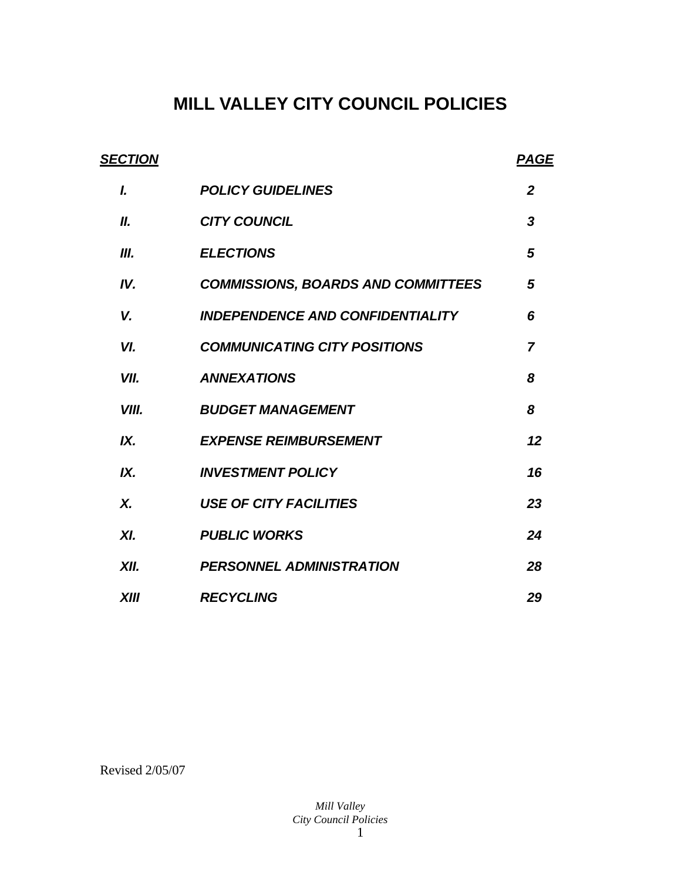# **MILL VALLEY CITY COUNCIL POLICIES**

| <b>SECTION</b> |                                           | <b>PAGE</b>      |
|----------------|-------------------------------------------|------------------|
| L              | <b>POLICY GUIDELINES</b>                  | $\mathbf{2}$     |
| Ш.             | <b>CITY COUNCIL</b>                       | $\boldsymbol{3}$ |
| Ш.             | <b>ELECTIONS</b>                          | 5                |
| IV.            | <b>COMMISSIONS, BOARDS AND COMMITTEES</b> | 5                |
| V.             | <b>INDEPENDENCE AND CONFIDENTIALITY</b>   | 6                |
| VI.            | <b>COMMUNICATING CITY POSITIONS</b>       | $\overline{7}$   |
| VII.           | <b>ANNEXATIONS</b>                        | 8                |
| VIII.          | <b>BUDGET MANAGEMENT</b>                  | 8                |
| IX.            | <b>EXPENSE REIMBURSEMENT</b>              | 12               |
| IX.            | <b>INVESTMENT POLICY</b>                  | 16               |
| X.             | <b>USE OF CITY FACILITIES</b>             | 23               |
| XI.            | <b>PUBLIC WORKS</b>                       | 24               |
| XII.           | <b>PERSONNEL ADMINISTRATION</b>           | 28               |
| <b>XIII</b>    | <b>RECYCLING</b>                          | 29               |

Revised 2/05/07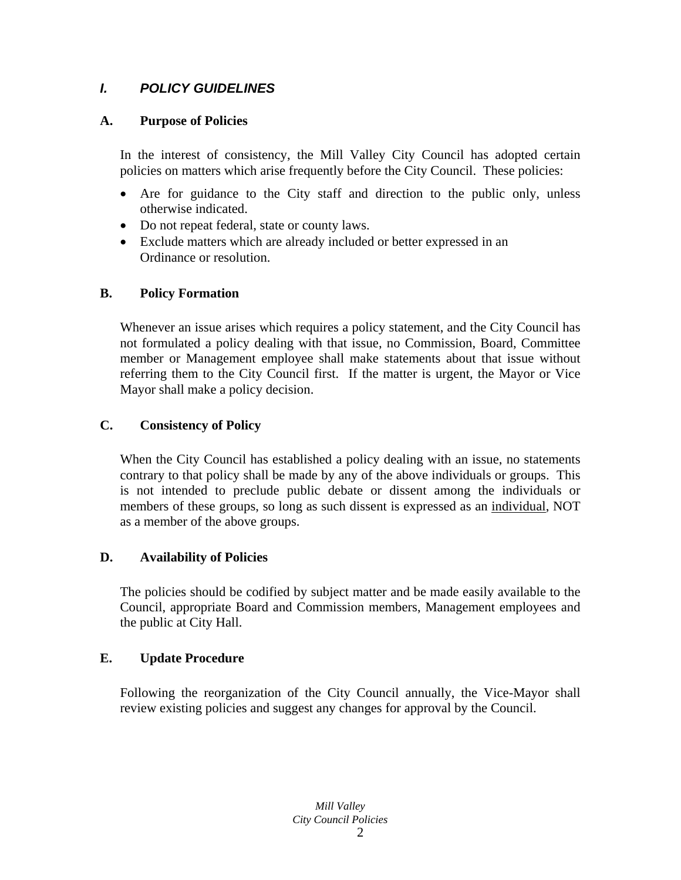# *I. POLICY GUIDELINES*

# **A. Purpose of Policies**

In the interest of consistency, the Mill Valley City Council has adopted certain policies on matters which arise frequently before the City Council. These policies:

- Are for guidance to the City staff and direction to the public only, unless otherwise indicated.
- Do not repeat federal, state or county laws.
- Exclude matters which are already included or better expressed in an Ordinance or resolution.

# **B. Policy Formation**

Whenever an issue arises which requires a policy statement, and the City Council has not formulated a policy dealing with that issue, no Commission, Board, Committee member or Management employee shall make statements about that issue without referring them to the City Council first. If the matter is urgent, the Mayor or Vice Mayor shall make a policy decision.

# **C. Consistency of Policy**

When the City Council has established a policy dealing with an issue, no statements contrary to that policy shall be made by any of the above individuals or groups. This is not intended to preclude public debate or dissent among the individuals or members of these groups, so long as such dissent is expressed as an individual, NOT as a member of the above groups.

# **D. Availability of Policies**

The policies should be codified by subject matter and be made easily available to the Council, appropriate Board and Commission members, Management employees and the public at City Hall.

# **E. Update Procedure**

Following the reorganization of the City Council annually, the Vice-Mayor shall review existing policies and suggest any changes for approval by the Council.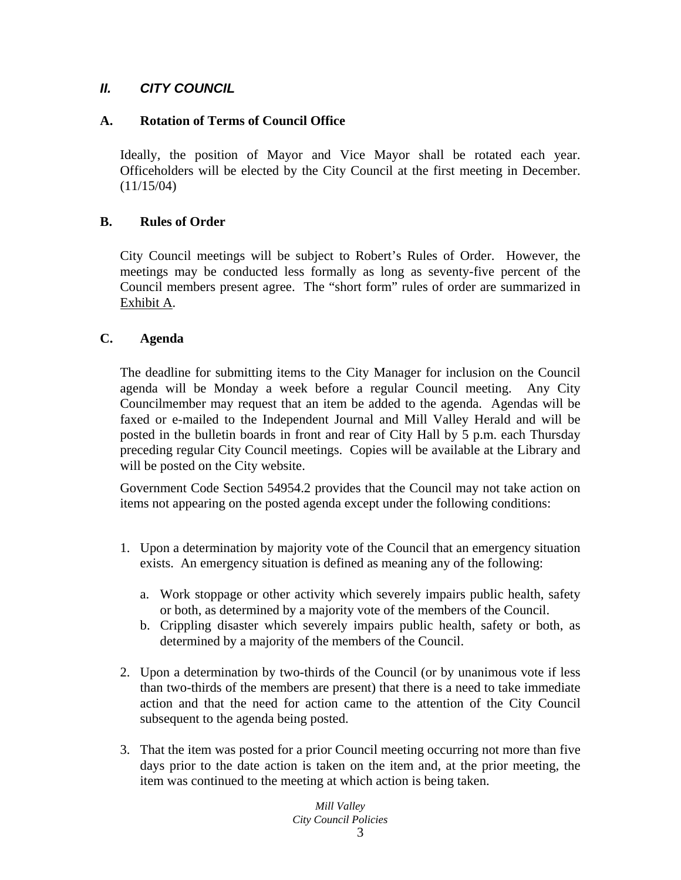# *II. CITY COUNCIL*

### **A. Rotation of Terms of Council Office**

Ideally, the position of Mayor and Vice Mayor shall be rotated each year. Officeholders will be elected by the City Council at the first meeting in December. (11/15/04)

### **B. Rules of Order**

City Council meetings will be subject to Robert's Rules of Order. However, the meetings may be conducted less formally as long as seventy-five percent of the Council members present agree. The "short form" rules of order are summarized in Exhibit A.

### **C. Agenda**

The deadline for submitting items to the City Manager for inclusion on the Council agenda will be Monday a week before a regular Council meeting. Any City Councilmember may request that an item be added to the agenda. Agendas will be faxed or e-mailed to the Independent Journal and Mill Valley Herald and will be posted in the bulletin boards in front and rear of City Hall by 5 p.m. each Thursday preceding regular City Council meetings. Copies will be available at the Library and will be posted on the City website.

Government Code Section 54954.2 provides that the Council may not take action on items not appearing on the posted agenda except under the following conditions:

- 1. Upon a determination by majority vote of the Council that an emergency situation exists. An emergency situation is defined as meaning any of the following:
	- a. Work stoppage or other activity which severely impairs public health, safety or both, as determined by a majority vote of the members of the Council.
	- b. Crippling disaster which severely impairs public health, safety or both, as determined by a majority of the members of the Council.
- 2. Upon a determination by two-thirds of the Council (or by unanimous vote if less than two-thirds of the members are present) that there is a need to take immediate action and that the need for action came to the attention of the City Council subsequent to the agenda being posted.
- 3. That the item was posted for a prior Council meeting occurring not more than five days prior to the date action is taken on the item and, at the prior meeting, the item was continued to the meeting at which action is being taken.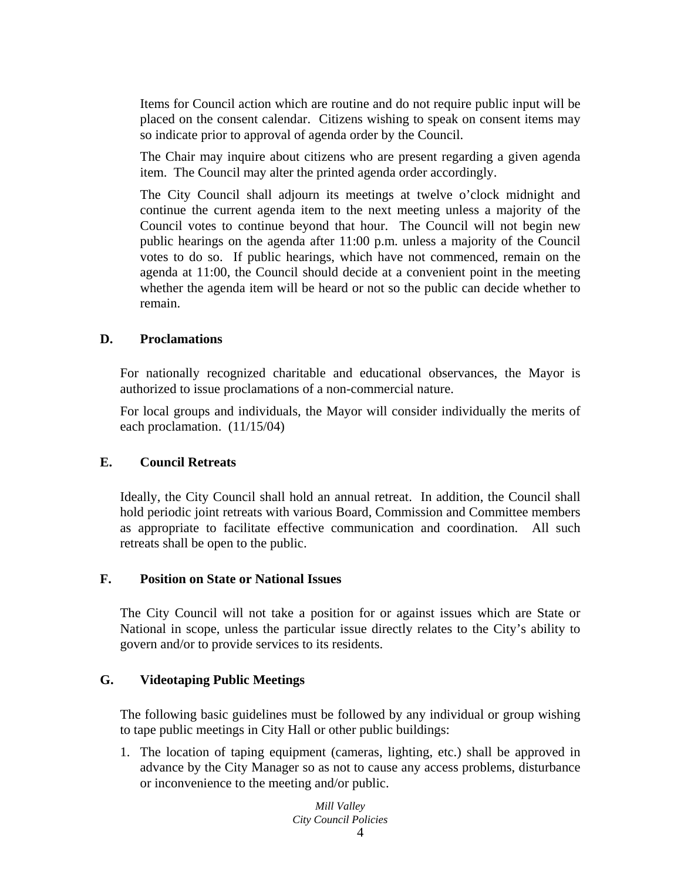Items for Council action which are routine and do not require public input will be placed on the consent calendar. Citizens wishing to speak on consent items may so indicate prior to approval of agenda order by the Council.

The Chair may inquire about citizens who are present regarding a given agenda item. The Council may alter the printed agenda order accordingly.

The City Council shall adjourn its meetings at twelve o'clock midnight and continue the current agenda item to the next meeting unless a majority of the Council votes to continue beyond that hour. The Council will not begin new public hearings on the agenda after 11:00 p.m. unless a majority of the Council votes to do so. If public hearings, which have not commenced, remain on the agenda at 11:00, the Council should decide at a convenient point in the meeting whether the agenda item will be heard or not so the public can decide whether to remain.

### **D. Proclamations**

For nationally recognized charitable and educational observances, the Mayor is authorized to issue proclamations of a non-commercial nature.

For local groups and individuals, the Mayor will consider individually the merits of each proclamation. (11/15/04)

#### **E. Council Retreats**

Ideally, the City Council shall hold an annual retreat. In addition, the Council shall hold periodic joint retreats with various Board, Commission and Committee members as appropriate to facilitate effective communication and coordination. All such retreats shall be open to the public.

#### **F. Position on State or National Issues**

The City Council will not take a position for or against issues which are State or National in scope, unless the particular issue directly relates to the City's ability to govern and/or to provide services to its residents.

#### **G. Videotaping Public Meetings**

The following basic guidelines must be followed by any individual or group wishing to tape public meetings in City Hall or other public buildings:

1. The location of taping equipment (cameras, lighting, etc.) shall be approved in advance by the City Manager so as not to cause any access problems, disturbance or inconvenience to the meeting and/or public.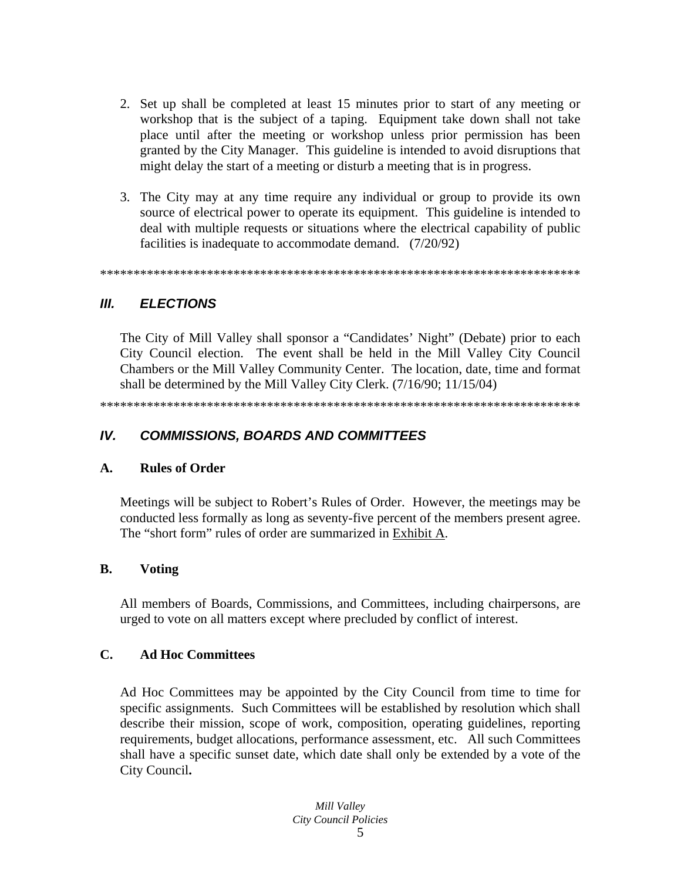- 2. Set up shall be completed at least 15 minutes prior to start of any meeting or workshop that is the subject of a taping. Equipment take down shall not take place until after the meeting or workshop unless prior permission has been granted by the City Manager. This guideline is intended to avoid disruptions that might delay the start of a meeting or disturb a meeting that is in progress.
- 3. The City may at any time require any individual or group to provide its own source of electrical power to operate its equipment. This guideline is intended to deal with multiple requests or situations where the electrical capability of public facilities is inadequate to accommodate demand. (7/20/92)

#### Ш. **ELECTIONS**

The City of Mill Valley shall sponsor a "Candidates' Night" (Debate) prior to each City Council election. The event shall be held in the Mill Valley City Council Chambers or the Mill Valley Community Center. The location, date, time and format shall be determined by the Mill Valley City Clerk. (7/16/90; 11/15/04)

#### $IV.$ **COMMISSIONS, BOARDS AND COMMITTEES**

#### $\mathbf{A}$ . **Rules of Order**

Meetings will be subject to Robert's Rules of Order. However, the meetings may be conducted less formally as long as seventy-five percent of the members present agree. The "short form" rules of order are summarized in Exhibit A.

#### **B. Voting**

All members of Boards, Commissions, and Committees, including chairpersons, are urged to vote on all matters except where precluded by conflict of interest.

#### $\mathbf{C}$ . **Ad Hoc Committees**

Ad Hoc Committees may be appointed by the City Council from time to time for specific assignments. Such Committees will be established by resolution which shall describe their mission, scope of work, composition, operating guidelines, reporting requirements, budget allocations, performance assessment, etc. All such Committees shall have a specific sunset date, which date shall only be extended by a vote of the City Council.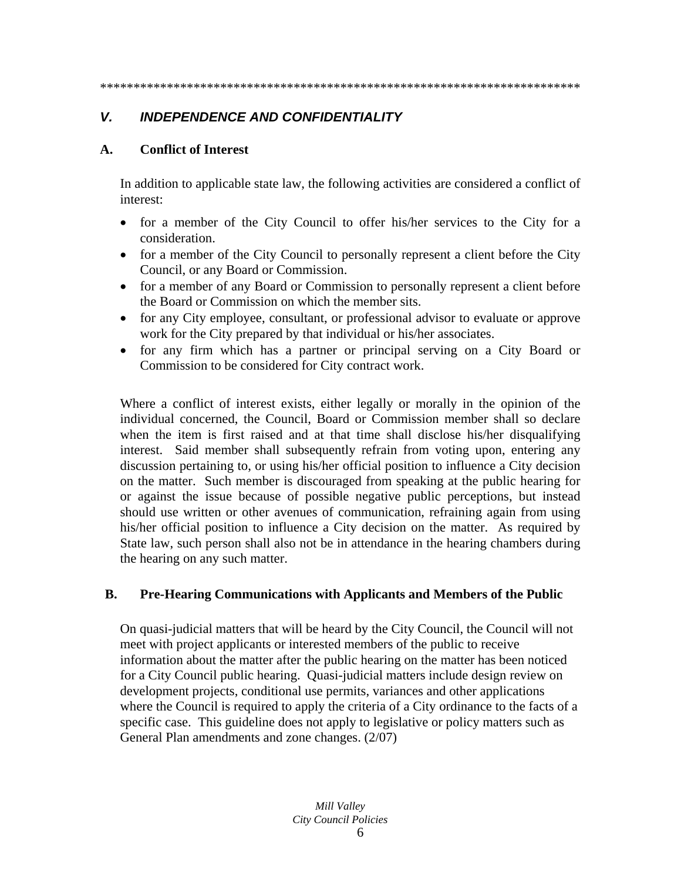# *V. INDEPENDENCE AND CONFIDENTIALITY*

### **A. Conflict of Interest**

In addition to applicable state law, the following activities are considered a conflict of interest:

- for a member of the City Council to offer his/her services to the City for a consideration.
- for a member of the City Council to personally represent a client before the City Council, or any Board or Commission.
- for a member of any Board or Commission to personally represent a client before the Board or Commission on which the member sits.
- for any City employee, consultant, or professional advisor to evaluate or approve work for the City prepared by that individual or his/her associates.
- for any firm which has a partner or principal serving on a City Board or Commission to be considered for City contract work.

Where a conflict of interest exists, either legally or morally in the opinion of the individual concerned, the Council, Board or Commission member shall so declare when the item is first raised and at that time shall disclose his/her disqualifying interest. Said member shall subsequently refrain from voting upon, entering any discussion pertaining to, or using his/her official position to influence a City decision on the matter. Such member is discouraged from speaking at the public hearing for or against the issue because of possible negative public perceptions, but instead should use written or other avenues of communication, refraining again from using his/her official position to influence a City decision on the matter. As required by State law, such person shall also not be in attendance in the hearing chambers during the hearing on any such matter.

# **B. Pre-Hearing Communications with Applicants and Members of the Public**

On quasi-judicial matters that will be heard by the City Council, the Council will not meet with project applicants or interested members of the public to receive information about the matter after the public hearing on the matter has been noticed for a City Council public hearing. Quasi-judicial matters include design review on development projects, conditional use permits, variances and other applications where the Council is required to apply the criteria of a City ordinance to the facts of a specific case. This guideline does not apply to legislative or policy matters such as General Plan amendments and zone changes. (2/07)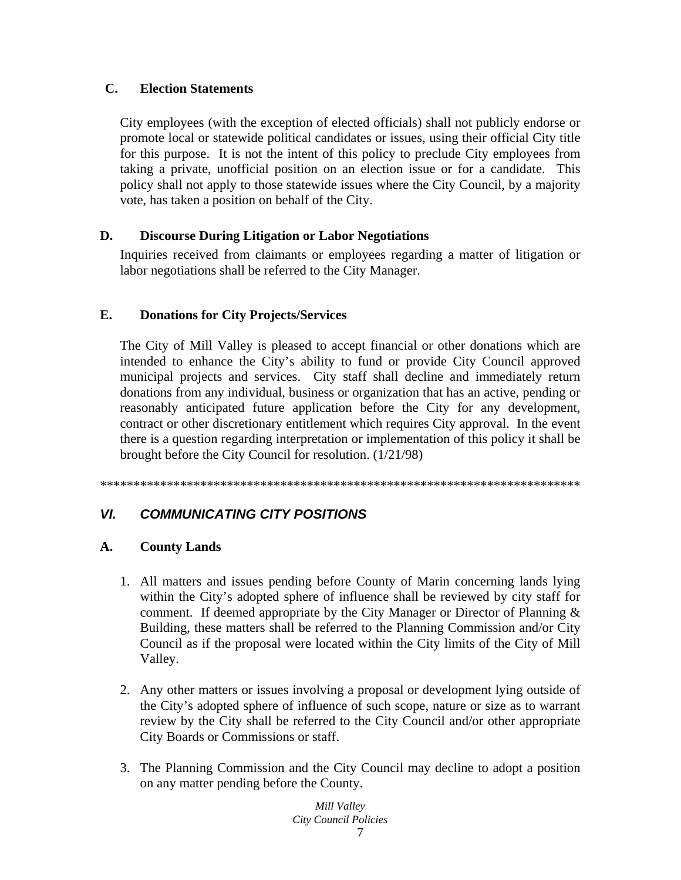# **C. Election Statements**

City employees (with the exception of elected officials) shall not publicly endorse or promote local or statewide political candidates or issues, using their official City title for this purpose. It is not the intent of this policy to preclude City employees from taking a private, unofficial position on an election issue or for a candidate. This policy shall not apply to those statewide issues where the City Council, by a majority vote, has taken a position on behalf of the City.

# **D. Discourse During Litigation or Labor Negotiations**

Inquiries received from claimants or employees regarding a matter of litigation or labor negotiations shall be referred to the City Manager.

# **E. Donations for City Projects/Services**

The City of Mill Valley is pleased to accept financial or other donations which are intended to enhance the City's ability to fund or provide City Council approved municipal projects and services. City staff shall decline and immediately return donations from any individual, business or organization that has an active, pending or reasonably anticipated future application before the City for any development, contract or other discretionary entitlement which requires City approval. In the event there is a question regarding interpretation or implementation of this policy it shall be brought before the City Council for resolution. (1/21/98)

\*\*\*\*\*\*\*\*\*\*\*\*\*\*\*\*\*\*\*\*\*\*\*\*\*\*\*\*\*\*\*\*\*\*\*\*\*\*\*\*\*\*\*\*\*\*\*\*\*\*\*\*\*\*\*\*\*\*\*\*\*\*\*\*\*\*\*\*\*\*\*\*

# *VI. COMMUNICATING CITY POSITIONS*

# **A. County Lands**

- 1. All matters and issues pending before County of Marin concerning lands lying within the City's adopted sphere of influence shall be reviewed by city staff for comment. If deemed appropriate by the City Manager or Director of Planning  $\&$ Building, these matters shall be referred to the Planning Commission and/or City Council as if the proposal were located within the City limits of the City of Mill Valley.
- 2. Any other matters or issues involving a proposal or development lying outside of the City's adopted sphere of influence of such scope, nature or size as to warrant review by the City shall be referred to the City Council and/or other appropriate City Boards or Commissions or staff.
- 3. The Planning Commission and the City Council may decline to adopt a position on any matter pending before the County.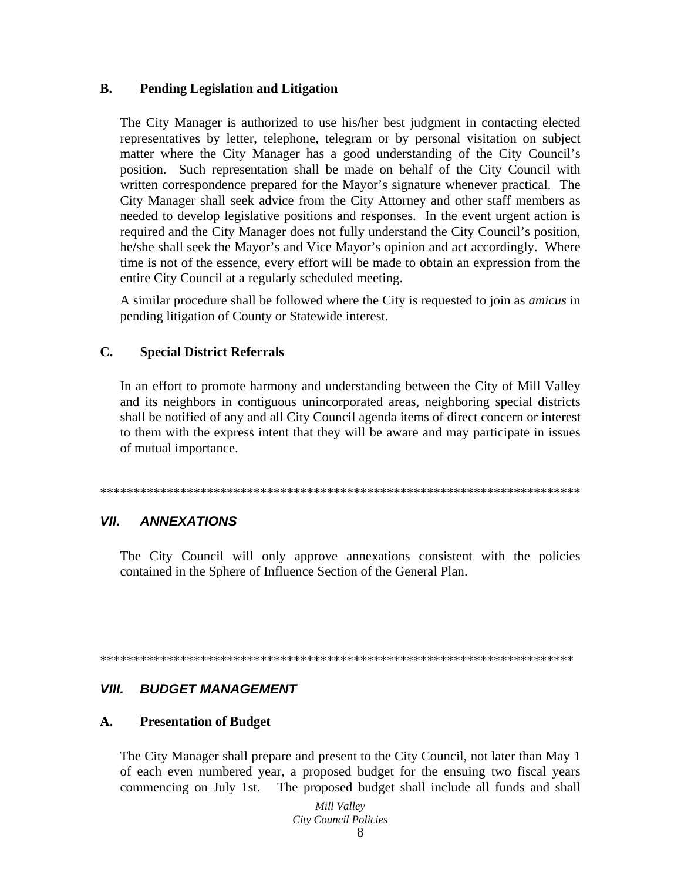#### $\mathbf{R}$ . **Pending Legislation and Litigation**

The City Manager is authorized to use his/her best judgment in contacting elected representatives by letter, telephone, telegram or by personal visitation on subject matter where the City Manager has a good understanding of the City Council's position. Such representation shall be made on behalf of the City Council with written correspondence prepared for the Mayor's signature whenever practical. The City Manager shall seek advice from the City Attorney and other staff members as needed to develop legislative positions and responses. In the event urgent action is required and the City Manager does not fully understand the City Council's position, he/she shall seek the Mayor's and Vice Mayor's opinion and act accordingly. Where time is not of the essence, every effort will be made to obtain an expression from the entire City Council at a regularly scheduled meeting.

A similar procedure shall be followed where the City is requested to join as *amicus* in pending litigation of County or Statewide interest.

#### $\mathbf{C}$ . **Special District Referrals**

In an effort to promote harmony and understanding between the City of Mill Valley and its neighbors in contiguous unincorporated areas, neighboring special districts shall be notified of any and all City Council agenda items of direct concern or interest to them with the express intent that they will be aware and may participate in issues of mutual importance.

#### VII. **ANNEXATIONS**

The City Council will only approve annexations consistent with the policies contained in the Sphere of Influence Section of the General Plan.

#### VIII. **BUDGET MANAGEMENT**

#### $\mathbf{A}$ . **Presentation of Budget**

The City Manager shall prepare and present to the City Council, not later than May 1 of each even numbered year, a proposed budget for the ensuing two fiscal years commencing on July 1st. The proposed budget shall include all funds and shall

> Mill Valley City Council Policies 8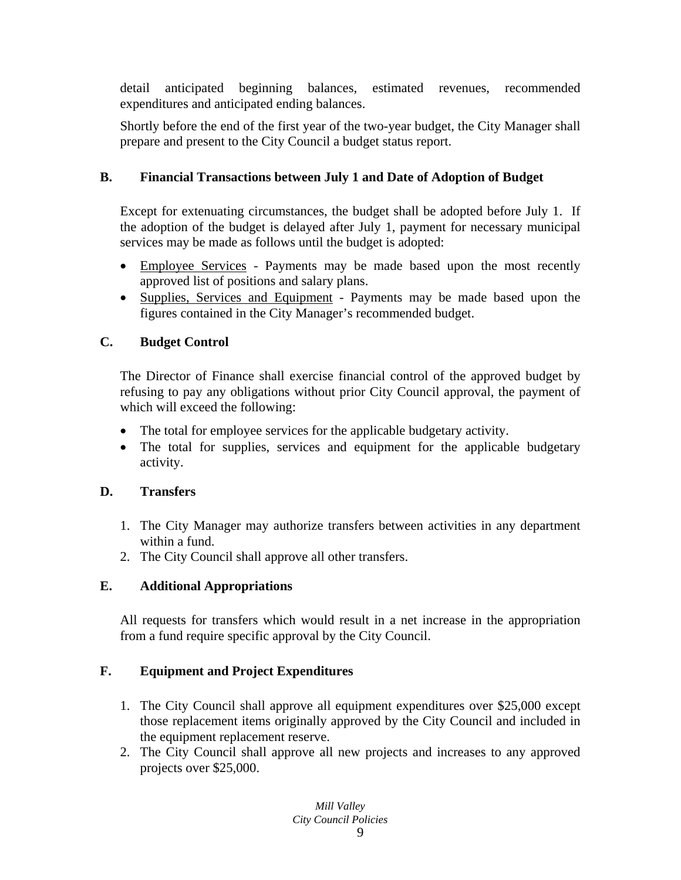detail anticipated beginning balances, estimated revenues, recommended expenditures and anticipated ending balances.

Shortly before the end of the first year of the two-year budget, the City Manager shall prepare and present to the City Council a budget status report.

# **B. Financial Transactions between July 1 and Date of Adoption of Budget**

Except for extenuating circumstances, the budget shall be adopted before July 1. If the adoption of the budget is delayed after July 1, payment for necessary municipal services may be made as follows until the budget is adopted:

- Employee Services Payments may be made based upon the most recently approved list of positions and salary plans.
- Supplies, Services and Equipment Payments may be made based upon the figures contained in the City Manager's recommended budget.

# **C. Budget Control**

The Director of Finance shall exercise financial control of the approved budget by refusing to pay any obligations without prior City Council approval, the payment of which will exceed the following:

- The total for employee services for the applicable budgetary activity.
- The total for supplies, services and equipment for the applicable budgetary activity.

# **D. Transfers**

- 1. The City Manager may authorize transfers between activities in any department within a fund.
- 2. The City Council shall approve all other transfers.

# **E. Additional Appropriations**

All requests for transfers which would result in a net increase in the appropriation from a fund require specific approval by the City Council.

# **F. Equipment and Project Expenditures**

- 1. The City Council shall approve all equipment expenditures over \$25,000 except those replacement items originally approved by the City Council and included in the equipment replacement reserve.
- 2. The City Council shall approve all new projects and increases to any approved projects over \$25,000.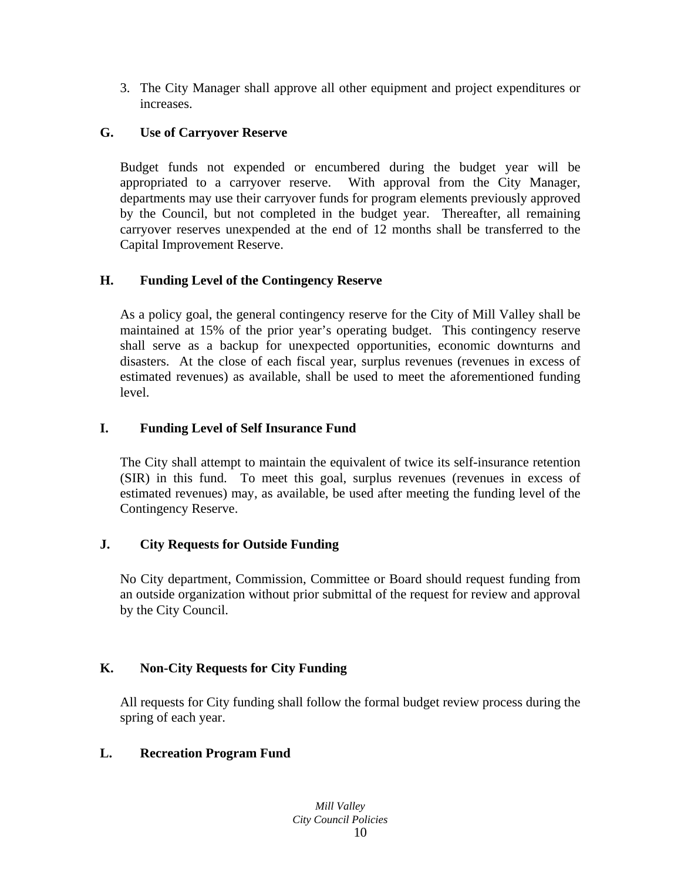3. The City Manager shall approve all other equipment and project expenditures or increases.

# **G. Use of Carryover Reserve**

Budget funds not expended or encumbered during the budget year will be appropriated to a carryover reserve. With approval from the City Manager, departments may use their carryover funds for program elements previously approved by the Council, but not completed in the budget year. Thereafter, all remaining carryover reserves unexpended at the end of 12 months shall be transferred to the Capital Improvement Reserve.

# **H. Funding Level of the Contingency Reserve**

As a policy goal, the general contingency reserve for the City of Mill Valley shall be maintained at 15% of the prior year's operating budget. This contingency reserve shall serve as a backup for unexpected opportunities, economic downturns and disasters. At the close of each fiscal year, surplus revenues (revenues in excess of estimated revenues) as available, shall be used to meet the aforementioned funding level.

# **I. Funding Level of Self Insurance Fund**

The City shall attempt to maintain the equivalent of twice its self-insurance retention (SIR) in this fund. To meet this goal, surplus revenues (revenues in excess of estimated revenues) may, as available, be used after meeting the funding level of the Contingency Reserve.

# **J. City Requests for Outside Funding**

No City department, Commission, Committee or Board should request funding from an outside organization without prior submittal of the request for review and approval by the City Council.

# **K. Non-City Requests for City Funding**

All requests for City funding shall follow the formal budget review process during the spring of each year.

# **L. Recreation Program Fund**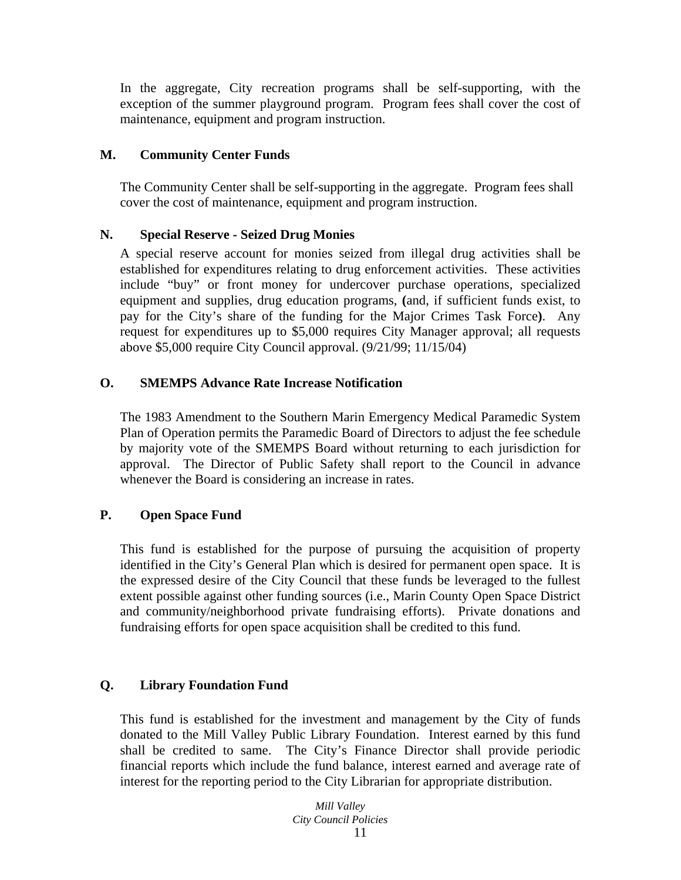In the aggregate, City recreation programs shall be self-supporting, with the exception of the summer playground program. Program fees shall cover the cost of maintenance, equipment and program instruction.

# **M. Community Center Funds**

The Community Center shall be self-supporting in the aggregate. Program fees shall cover the cost of maintenance, equipment and program instruction.

# **N. Special Reserve - Seized Drug Monies**

A special reserve account for monies seized from illegal drug activities shall be established for expenditures relating to drug enforcement activities. These activities include "buy" or front money for undercover purchase operations, specialized equipment and supplies, drug education programs, **(**and, if sufficient funds exist, to pay for the City's share of the funding for the Major Crimes Task Force**)**. Any request for expenditures up to \$5,000 requires City Manager approval; all requests above \$5,000 require City Council approval. (9/21/99; 11/15/04)

# **O. SMEMPS Advance Rate Increase Notification**

The 1983 Amendment to the Southern Marin Emergency Medical Paramedic System Plan of Operation permits the Paramedic Board of Directors to adjust the fee schedule by majority vote of the SMEMPS Board without returning to each jurisdiction for approval. The Director of Public Safety shall report to the Council in advance whenever the Board is considering an increase in rates.

# **P. Open Space Fund**

This fund is established for the purpose of pursuing the acquisition of property identified in the City's General Plan which is desired for permanent open space. It is the expressed desire of the City Council that these funds be leveraged to the fullest extent possible against other funding sources (i.e., Marin County Open Space District and community/neighborhood private fundraising efforts). Private donations and fundraising efforts for open space acquisition shall be credited to this fund.

# **Q. Library Foundation Fund**

This fund is established for the investment and management by the City of funds donated to the Mill Valley Public Library Foundation. Interest earned by this fund shall be credited to same. The City's Finance Director shall provide periodic financial reports which include the fund balance, interest earned and average rate of interest for the reporting period to the City Librarian for appropriate distribution.

*Mill Valley City Council Policies*  11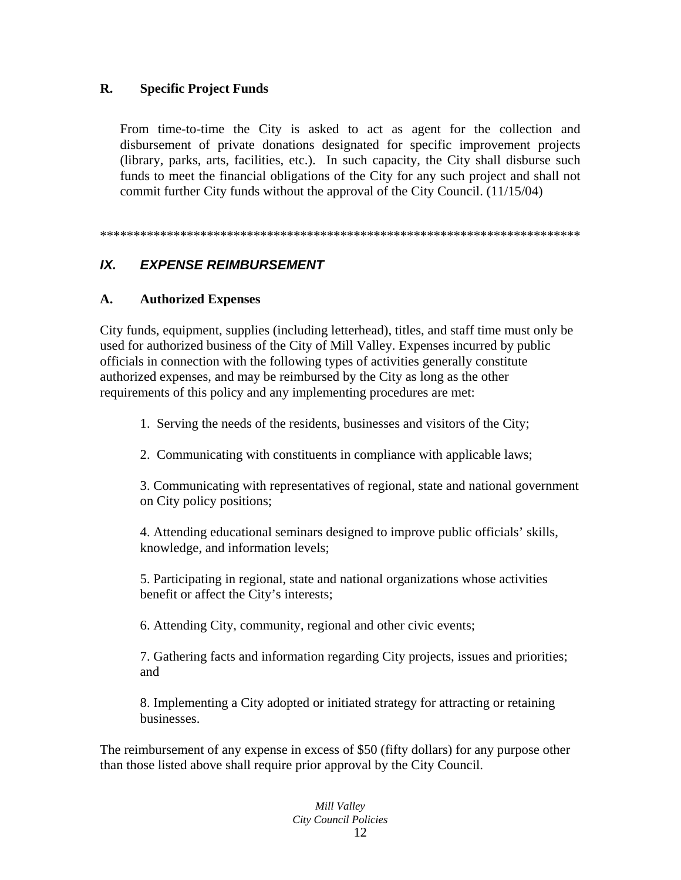#### $\mathbf{R}$ . **Specific Project Funds**

From time-to-time the City is asked to act as agent for the collection and disbursement of private donations designated for specific improvement projects (library, parks, arts, facilities, etc.). In such capacity, the City shall disburse such funds to meet the financial obligations of the City for any such project and shall not commit further City funds without the approval of the City Council. (11/15/04)

#### $IX.$ **EXPENSE REIMBURSEMENT**

#### $\mathbf{A}$ . **Authorized Expenses**

City funds, equipment, supplies (including letterhead), titles, and staff time must only be used for authorized business of the City of Mill Valley. Expenses incurred by public officials in connection with the following types of activities generally constitute authorized expenses, and may be reimbursed by the City as long as the other requirements of this policy and any implementing procedures are met:

1. Serving the needs of the residents, businesses and visitors of the City;

2. Communicating with constituents in compliance with applicable laws;

3. Communicating with representatives of regional, state and national government on City policy positions;

4. Attending educational seminars designed to improve public officials' skills, knowledge, and information levels;

5. Participating in regional, state and national organizations whose activities benefit or affect the City's interests;

6. Attending City, community, regional and other civic events;

7. Gathering facts and information regarding City projects, issues and priorities; and

8. Implementing a City adopted or initiated strategy for attracting or retaining businesses.

The reimbursement of any expense in excess of \$50 (fifty dollars) for any purpose other than those listed above shall require prior approval by the City Council.

#### Mill Valley **City Council Policies** 12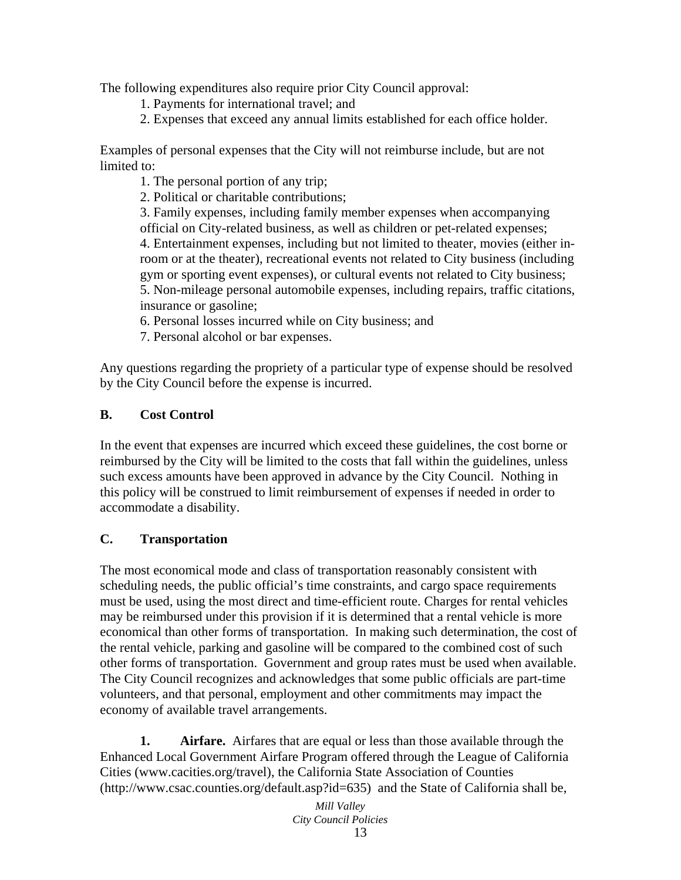The following expenditures also require prior City Council approval:

- 1. Payments for international travel; and
- 2. Expenses that exceed any annual limits established for each office holder.

Examples of personal expenses that the City will not reimburse include, but are not limited to:

1. The personal portion of any trip;

2. Political or charitable contributions;

3. Family expenses, including family member expenses when accompanying official on City-related business, as well as children or pet-related expenses; 4. Entertainment expenses, including but not limited to theater, movies (either inroom or at the theater), recreational events not related to City business (including gym or sporting event expenses), or cultural events not related to City business;

- 5. Non-mileage personal automobile expenses, including repairs, traffic citations, insurance or gasoline;
- 6. Personal losses incurred while on City business; and
- 7. Personal alcohol or bar expenses.

Any questions regarding the propriety of a particular type of expense should be resolved by the City Council before the expense is incurred.

# **B. Cost Control**

In the event that expenses are incurred which exceed these guidelines, the cost borne or reimbursed by the City will be limited to the costs that fall within the guidelines, unless such excess amounts have been approved in advance by the City Council. Nothing in this policy will be construed to limit reimbursement of expenses if needed in order to accommodate a disability.

# **C. Transportation**

The most economical mode and class of transportation reasonably consistent with scheduling needs, the public official's time constraints, and cargo space requirements must be used, using the most direct and time-efficient route. Charges for rental vehicles may be reimbursed under this provision if it is determined that a rental vehicle is more economical than other forms of transportation. In making such determination, the cost of the rental vehicle, parking and gasoline will be compared to the combined cost of such other forms of transportation. Government and group rates must be used when available. The City Council recognizes and acknowledges that some public officials are part-time volunteers, and that personal, employment and other commitments may impact the economy of available travel arrangements.

**1.** Airfare. Airfares that are equal or less than those available through the Enhanced Local Government Airfare Program offered through the League of California Cities (www.cacities.org/travel), the California State Association of Counties (http://www.csac.counties.org/default.asp?id=635) and the State of California shall be,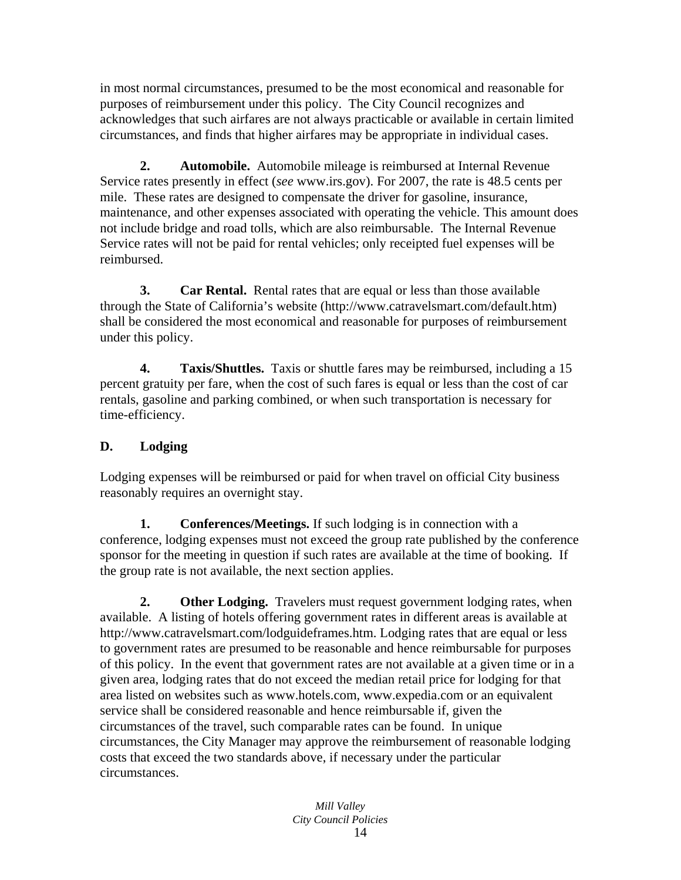in most normal circumstances, presumed to be the most economical and reasonable for purposes of reimbursement under this policy. The City Council recognizes and acknowledges that such airfares are not always practicable or available in certain limited circumstances, and finds that higher airfares may be appropriate in individual cases.

 **2. Automobile.** Automobile mileage is reimbursed at Internal Revenue Service rates presently in effect (*see* www.irs.gov). For 2007, the rate is 48.5 cents per mile. These rates are designed to compensate the driver for gasoline, insurance, maintenance, and other expenses associated with operating the vehicle. This amount does not include bridge and road tolls, which are also reimbursable. The Internal Revenue Service rates will not be paid for rental vehicles; only receipted fuel expenses will be reimbursed.

 **3. Car Rental.** Rental rates that are equal or less than those available through the State of California's website (http://www.catravelsmart.com/default.htm) shall be considered the most economical and reasonable for purposes of reimbursement under this policy.

 **4. Taxis/Shuttles.** Taxis or shuttle fares may be reimbursed, including a 15 percent gratuity per fare, when the cost of such fares is equal or less than the cost of car rentals, gasoline and parking combined, or when such transportation is necessary for time-efficiency.

# **D. Lodging**

Lodging expenses will be reimbursed or paid for when travel on official City business reasonably requires an overnight stay.

**1.** Conferences/Meetings. If such lodging is in connection with a conference, lodging expenses must not exceed the group rate published by the conference sponsor for the meeting in question if such rates are available at the time of booking. If the group rate is not available, the next section applies.

**2.** Other Lodging. Travelers must request government lodging rates, when available. A listing of hotels offering government rates in different areas is available at http://www.catravelsmart.com/lodguideframes.htm. Lodging rates that are equal or less to government rates are presumed to be reasonable and hence reimbursable for purposes of this policy. In the event that government rates are not available at a given time or in a given area, lodging rates that do not exceed the median retail price for lodging for that area listed on websites such as www.hotels.com, www.expedia.com or an equivalent service shall be considered reasonable and hence reimbursable if, given the circumstances of the travel, such comparable rates can be found. In unique circumstances, the City Manager may approve the reimbursement of reasonable lodging costs that exceed the two standards above, if necessary under the particular circumstances.

*Mill Valley City Council Policies*  14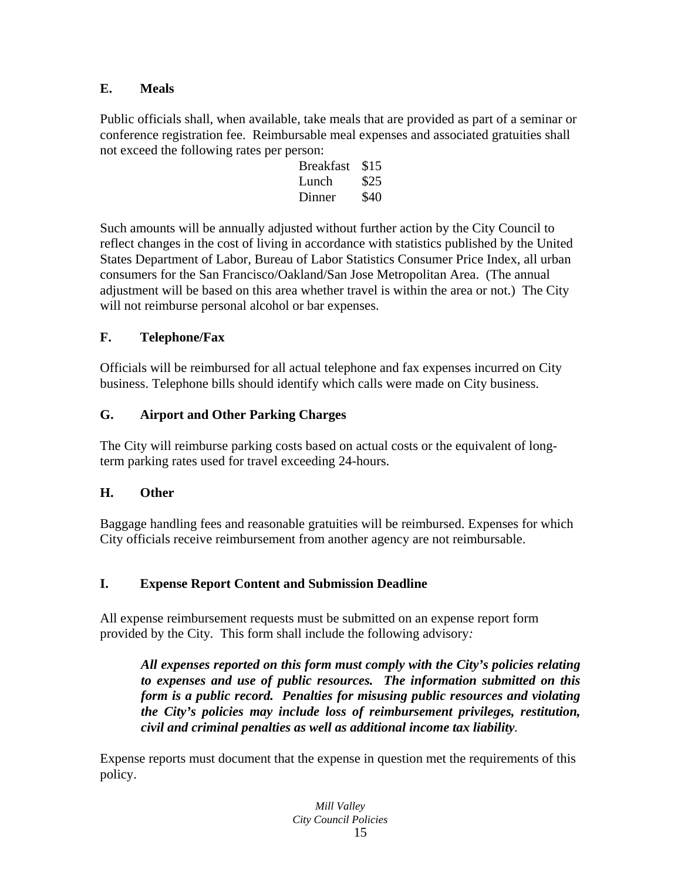# **E. Meals**

Public officials shall, when available, take meals that are provided as part of a seminar or conference registration fee. Reimbursable meal expenses and associated gratuities shall not exceed the following rates per person:

| <b>Breakfast</b> | \$15 |
|------------------|------|
| Lunch            | \$25 |
| Dinner           | \$40 |

Such amounts will be annually adjusted without further action by the City Council to reflect changes in the cost of living in accordance with statistics published by the United States Department of Labor, Bureau of Labor Statistics Consumer Price Index, all urban consumers for the San Francisco/Oakland/San Jose Metropolitan Area. (The annual adjustment will be based on this area whether travel is within the area or not.) The City will not reimburse personal alcohol or bar expenses.

# **F. Telephone/Fax**

Officials will be reimbursed for all actual telephone and fax expenses incurred on City business. Telephone bills should identify which calls were made on City business.

# **G. Airport and Other Parking Charges**

The City will reimburse parking costs based on actual costs or the equivalent of longterm parking rates used for travel exceeding 24-hours.

# **H. Other**

Baggage handling fees and reasonable gratuities will be reimbursed. Expenses for which City officials receive reimbursement from another agency are not reimbursable.

# **I. Expense Report Content and Submission Deadline**

All expense reimbursement requests must be submitted on an expense report form provided by the City*.* This form shall include the following advisory*:* 

*All expenses reported on this form must comply with the City's policies relating to expenses and use of public resources. The information submitted on this form is a public record. Penalties for misusing public resources and violating the City's policies may include loss of reimbursement privileges, restitution, civil and criminal penalties as well as additional income tax liability.* 

Expense reports must document that the expense in question met the requirements of this policy.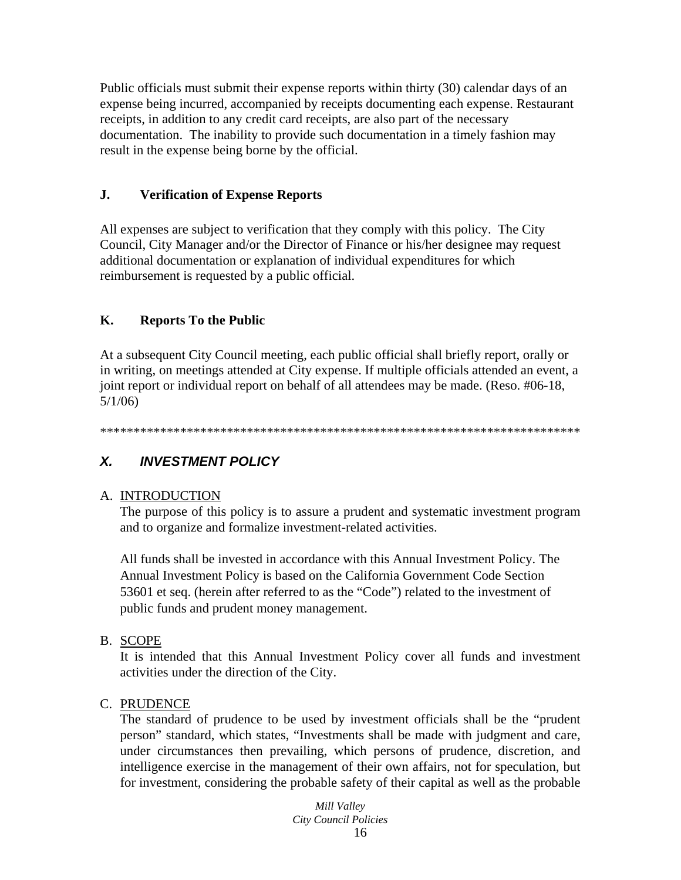Public officials must submit their expense reports within thirty (30) calendar days of an expense being incurred, accompanied by receipts documenting each expense. Restaurant receipts, in addition to any credit card receipts, are also part of the necessary documentation. The inability to provide such documentation in a timely fashion may result in the expense being borne by the official.

#### $\mathbf{J}$ . **Verification of Expense Reports**

All expenses are subject to verification that they comply with this policy. The City Council, City Manager and/or the Director of Finance or his/her designee may request additional documentation or explanation of individual expenditures for which reimbursement is requested by a public official.

#### $\mathbf{K}_{\cdot}$ **Reports To the Public**

At a subsequent City Council meeting, each public official shall briefly report, orally or in writing, on meetings attended at City expense. If multiple officials attended an event, a joint report or individual report on behalf of all attendees may be made. (Reso. #06-18,  $5/1/06$ 

#### $\mathbf{X}$ **INVESTMENT POLICY**

#### A. INTRODUCTION

The purpose of this policy is to assure a prudent and systematic investment program and to organize and formalize investment-related activities.

All funds shall be invested in accordance with this Annual Investment Policy. The Annual Investment Policy is based on the California Government Code Section 53601 et seq. (herein after referred to as the "Code") related to the investment of public funds and prudent money management.

#### **B. SCOPE**

It is intended that this Annual Investment Policy cover all funds and investment activities under the direction of the City.

#### C. PRUDENCE

The standard of prudence to be used by investment officials shall be the "prudent" person" standard, which states, "Investments shall be made with judgment and care, under circumstances then prevailing, which persons of prudence, discretion, and intelligence exercise in the management of their own affairs, not for speculation, but for investment, considering the probable safety of their capital as well as the probable

> Mill Valley **City Council Policies** 16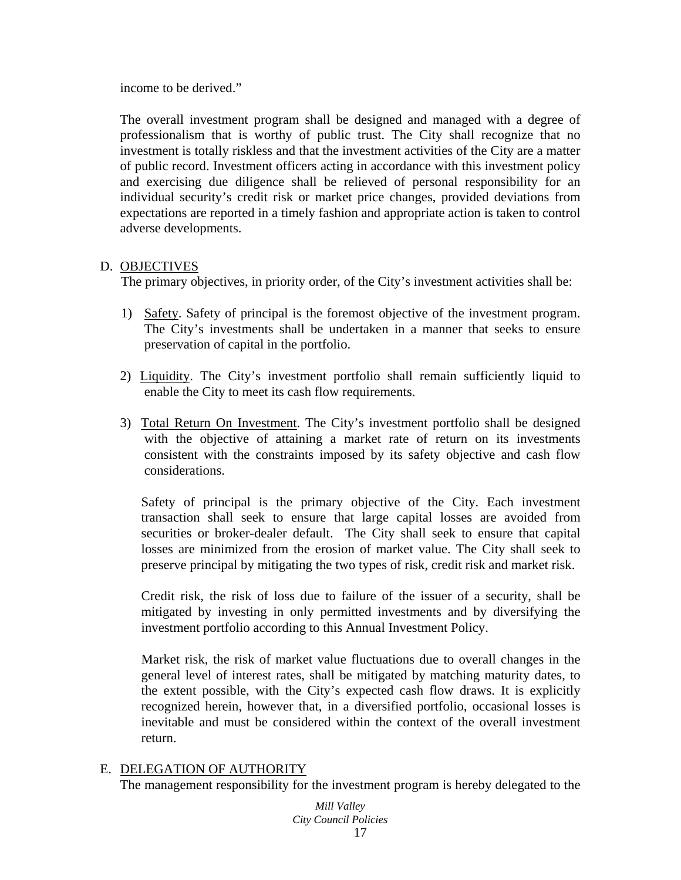income to be derived."

The overall investment program shall be designed and managed with a degree of professionalism that is worthy of public trust. The City shall recognize that no investment is totally riskless and that the investment activities of the City are a matter of public record. Investment officers acting in accordance with this investment policy and exercising due diligence shall be relieved of personal responsibility for an individual security's credit risk or market price changes, provided deviations from expectations are reported in a timely fashion and appropriate action is taken to control adverse developments.

#### D. OBJECTIVES

The primary objectives, in priority order, of the City's investment activities shall be:

- 1) Safety. Safety of principal is the foremost objective of the investment program. The City's investments shall be undertaken in a manner that seeks to ensure preservation of capital in the portfolio.
- 2) Liquidity. The City's investment portfolio shall remain sufficiently liquid to enable the City to meet its cash flow requirements.
- 3) Total Return On Investment. The City's investment portfolio shall be designed with the objective of attaining a market rate of return on its investments consistent with the constraints imposed by its safety objective and cash flow considerations.

Safety of principal is the primary objective of the City. Each investment transaction shall seek to ensure that large capital losses are avoided from securities or broker-dealer default. The City shall seek to ensure that capital losses are minimized from the erosion of market value. The City shall seek to preserve principal by mitigating the two types of risk, credit risk and market risk.

Credit risk, the risk of loss due to failure of the issuer of a security, shall be mitigated by investing in only permitted investments and by diversifying the investment portfolio according to this Annual Investment Policy.

Market risk, the risk of market value fluctuations due to overall changes in the general level of interest rates, shall be mitigated by matching maturity dates, to the extent possible, with the City's expected cash flow draws. It is explicitly recognized herein, however that, in a diversified portfolio, occasional losses is inevitable and must be considered within the context of the overall investment return.

# E. DELEGATION OF AUTHORITY

The management responsibility for the investment program is hereby delegated to the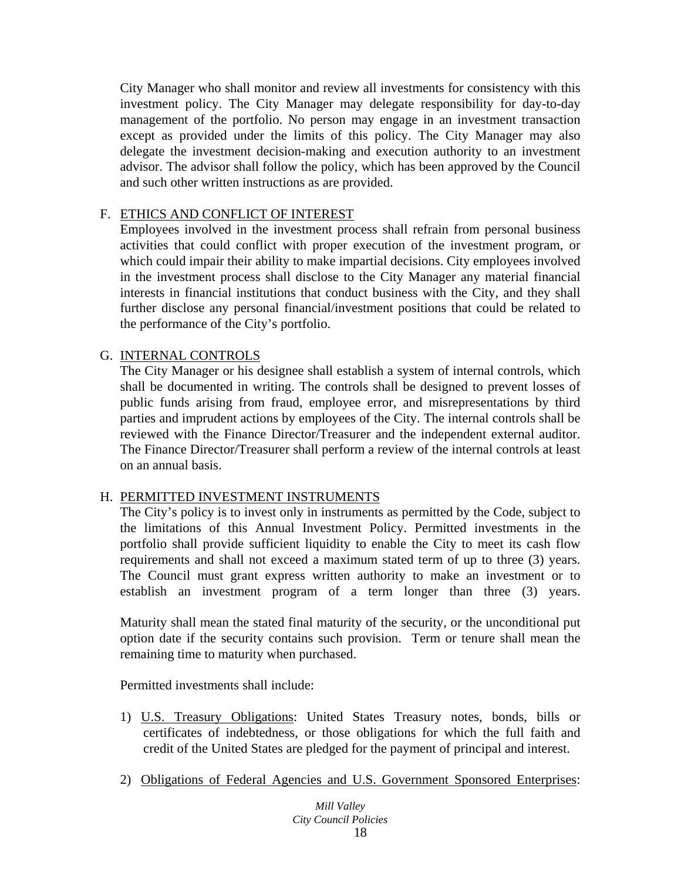City Manager who shall monitor and review all investments for consistency with this investment policy. The City Manager may delegate responsibility for day-to-day management of the portfolio. No person may engage in an investment transaction except as provided under the limits of this policy. The City Manager may also delegate the investment decision-making and execution authority to an investment advisor. The advisor shall follow the policy, which has been approved by the Council and such other written instructions as are provided.

# F. ETHICS AND CONFLICT OF INTEREST

Employees involved in the investment process shall refrain from personal business activities that could conflict with proper execution of the investment program, or which could impair their ability to make impartial decisions. City employees involved in the investment process shall disclose to the City Manager any material financial interests in financial institutions that conduct business with the City, and they shall further disclose any personal financial/investment positions that could be related to the performance of the City's portfolio.

# G. INTERNAL CONTROLS

The City Manager or his designee shall establish a system of internal controls, which shall be documented in writing. The controls shall be designed to prevent losses of public funds arising from fraud, employee error, and misrepresentations by third parties and imprudent actions by employees of the City. The internal controls shall be reviewed with the Finance Director/Treasurer and the independent external auditor. The Finance Director/Treasurer shall perform a review of the internal controls at least on an annual basis.

# H. PERMITTED INVESTMENT INSTRUMENTS

The City's policy is to invest only in instruments as permitted by the Code, subject to the limitations of this Annual Investment Policy. Permitted investments in the portfolio shall provide sufficient liquidity to enable the City to meet its cash flow requirements and shall not exceed a maximum stated term of up to three (3) years. The Council must grant express written authority to make an investment or to establish an investment program of a term longer than three (3) years.

Maturity shall mean the stated final maturity of the security, or the unconditional put option date if the security contains such provision. Term or tenure shall mean the remaining time to maturity when purchased.

Permitted investments shall include:

- 1) U.S. Treasury Obligations: United States Treasury notes, bonds, bills or certificates of indebtedness, or those obligations for which the full faith and credit of the United States are pledged for the payment of principal and interest.
- 2) Obligations of Federal Agencies and U.S. Government Sponsored Enterprises: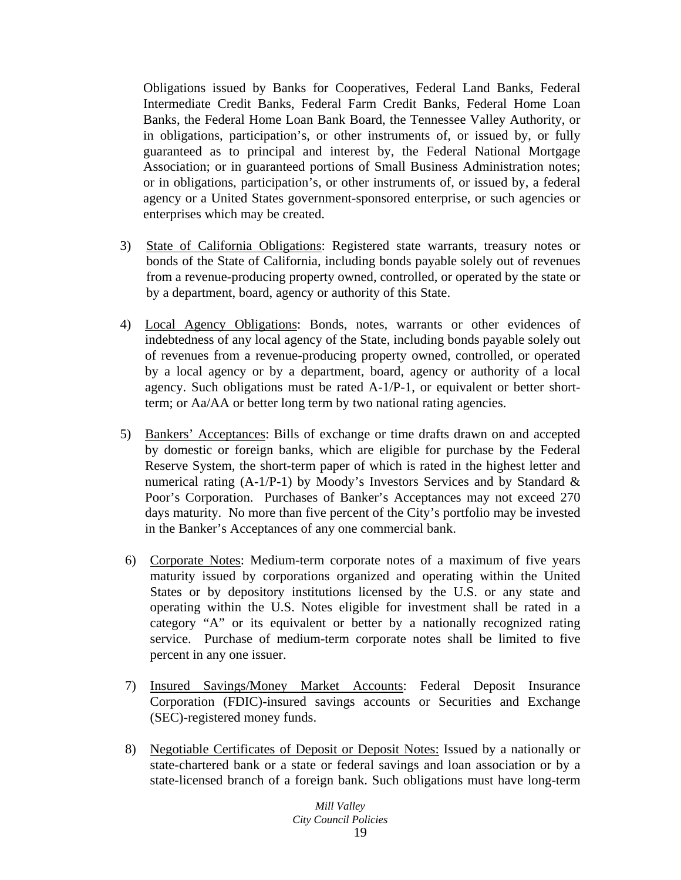Obligations issued by Banks for Cooperatives, Federal Land Banks, Federal Intermediate Credit Banks, Federal Farm Credit Banks, Federal Home Loan Banks, the Federal Home Loan Bank Board, the Tennessee Valley Authority, or in obligations, participation's, or other instruments of, or issued by, or fully guaranteed as to principal and interest by, the Federal National Mortgage Association; or in guaranteed portions of Small Business Administration notes; or in obligations, participation's, or other instruments of, or issued by, a federal agency or a United States government-sponsored enterprise, or such agencies or enterprises which may be created.

- 3) State of California Obligations: Registered state warrants, treasury notes or bonds of the State of California, including bonds payable solely out of revenues from a revenue-producing property owned, controlled, or operated by the state or by a department, board, agency or authority of this State.
- 4) Local Agency Obligations: Bonds, notes, warrants or other evidences of indebtedness of any local agency of the State, including bonds payable solely out of revenues from a revenue-producing property owned, controlled, or operated by a local agency or by a department, board, agency or authority of a local agency. Such obligations must be rated A-1/P-1, or equivalent or better shortterm; or Aa/AA or better long term by two national rating agencies.
- 5) Bankers' Acceptances: Bills of exchange or time drafts drawn on and accepted by domestic or foreign banks, which are eligible for purchase by the Federal Reserve System, the short-term paper of which is rated in the highest letter and numerical rating  $(A-1/P-1)$  by Moody's Investors Services and by Standard & Poor's Corporation. Purchases of Banker's Acceptances may not exceed 270 days maturity. No more than five percent of the City's portfolio may be invested in the Banker's Acceptances of any one commercial bank.
- 6) Corporate Notes: Medium-term corporate notes of a maximum of five years maturity issued by corporations organized and operating within the United States or by depository institutions licensed by the U.S. or any state and operating within the U.S. Notes eligible for investment shall be rated in a category "A" or its equivalent or better by a nationally recognized rating service. Purchase of medium-term corporate notes shall be limited to five percent in any one issuer.
- 7) Insured Savings/Money Market Accounts: Federal Deposit Insurance Corporation (FDIC)-insured savings accounts or Securities and Exchange (SEC)-registered money funds.
- 8) Negotiable Certificates of Deposit or Deposit Notes: Issued by a nationally or state-chartered bank or a state or federal savings and loan association or by a state-licensed branch of a foreign bank. Such obligations must have long-term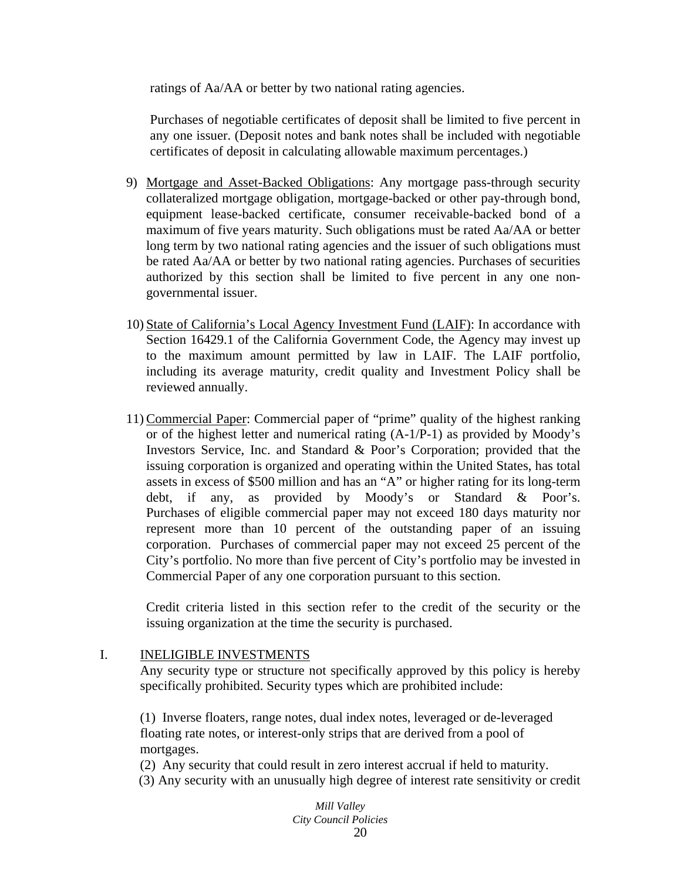ratings of Aa/AA or better by two national rating agencies.

Purchases of negotiable certificates of deposit shall be limited to five percent in any one issuer. (Deposit notes and bank notes shall be included with negotiable certificates of deposit in calculating allowable maximum percentages.)

- 9) Mortgage and Asset-Backed Obligations: Any mortgage pass-through security collateralized mortgage obligation, mortgage-backed or other pay-through bond, equipment lease-backed certificate, consumer receivable-backed bond of a maximum of five years maturity. Such obligations must be rated Aa/AA or better long term by two national rating agencies and the issuer of such obligations must be rated Aa/AA or better by two national rating agencies. Purchases of securities authorized by this section shall be limited to five percent in any one nongovernmental issuer.
- 10) State of California's Local Agency Investment Fund (LAIF): In accordance with Section 16429.1 of the California Government Code, the Agency may invest up to the maximum amount permitted by law in LAIF. The LAIF portfolio, including its average maturity, credit quality and Investment Policy shall be reviewed annually.
- 11) Commercial Paper: Commercial paper of "prime" quality of the highest ranking or of the highest letter and numerical rating (A-1/P-1) as provided by Moody's Investors Service, Inc. and Standard & Poor's Corporation; provided that the issuing corporation is organized and operating within the United States, has total assets in excess of \$500 million and has an "A" or higher rating for its long-term debt, if any, as provided by Moody's or Standard & Poor's. Purchases of eligible commercial paper may not exceed 180 days maturity nor represent more than 10 percent of the outstanding paper of an issuing corporation. Purchases of commercial paper may not exceed 25 percent of the City's portfolio. No more than five percent of City's portfolio may be invested in Commercial Paper of any one corporation pursuant to this section.

Credit criteria listed in this section refer to the credit of the security or the issuing organization at the time the security is purchased.

#### I. INELIGIBLE INVESTMENTS

Any security type or structure not specifically approved by this policy is hereby specifically prohibited. Security types which are prohibited include:

(1) Inverse floaters, range notes, dual index notes, leveraged or de-leveraged floating rate notes, or interest-only strips that are derived from a pool of mortgages.

(2) Any security that could result in zero interest accrual if held to maturity. (3) Any security with an unusually high degree of interest rate sensitivity or credit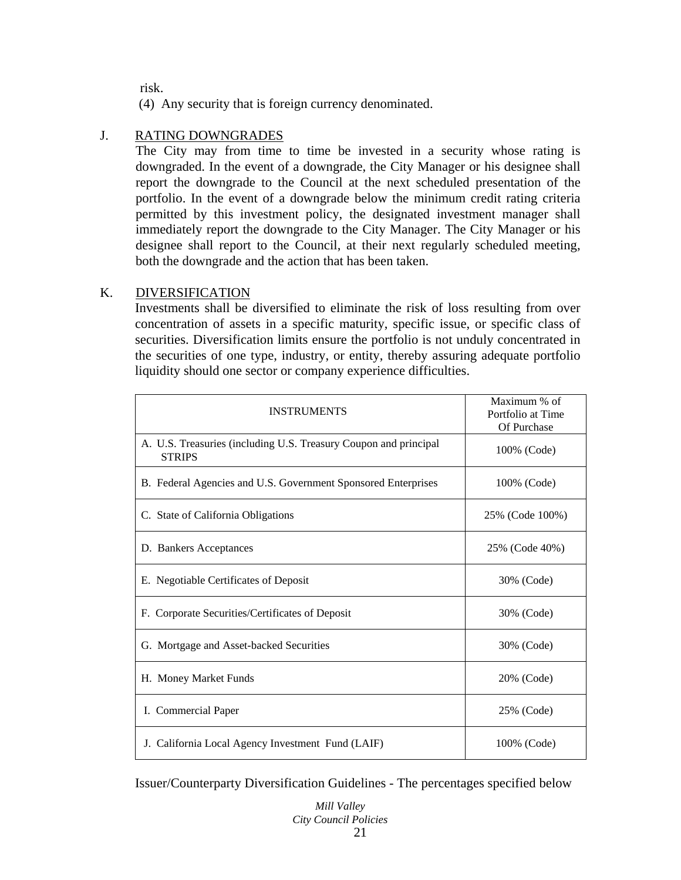risk.

(4) Any security that is foreign currency denominated.

### J. RATING DOWNGRADES

The City may from time to time be invested in a security whose rating is downgraded. In the event of a downgrade, the City Manager or his designee shall report the downgrade to the Council at the next scheduled presentation of the portfolio. In the event of a downgrade below the minimum credit rating criteria permitted by this investment policy, the designated investment manager shall immediately report the downgrade to the City Manager. The City Manager or his designee shall report to the Council, at their next regularly scheduled meeting, both the downgrade and the action that has been taken.

### K. DIVERSIFICATION

Investments shall be diversified to eliminate the risk of loss resulting from over concentration of assets in a specific maturity, specific issue, or specific class of securities. Diversification limits ensure the portfolio is not unduly concentrated in the securities of one type, industry, or entity, thereby assuring adequate portfolio liquidity should one sector or company experience difficulties.

| <b>INSTRUMENTS</b>                                                                | Maximum % of<br>Portfolio at Time<br>Of Purchase |
|-----------------------------------------------------------------------------------|--------------------------------------------------|
| A. U.S. Treasuries (including U.S. Treasury Coupon and principal<br><b>STRIPS</b> | 100% (Code)                                      |
| B. Federal Agencies and U.S. Government Sponsored Enterprises                     | 100% (Code)                                      |
| C. State of California Obligations                                                | 25% (Code 100%)                                  |
| D. Bankers Acceptances                                                            | 25% (Code 40%)                                   |
| E. Negotiable Certificates of Deposit                                             | 30% (Code)                                       |
| F. Corporate Securities/Certificates of Deposit                                   | 30% (Code)                                       |
| G. Mortgage and Asset-backed Securities                                           | 30% (Code)                                       |
| H. Money Market Funds                                                             | 20% (Code)                                       |
| I. Commercial Paper                                                               | 25% (Code)                                       |
| J. California Local Agency Investment Fund (LAIF)                                 | 100% (Code)                                      |

Issuer/Counterparty Diversification Guidelines - The percentages specified below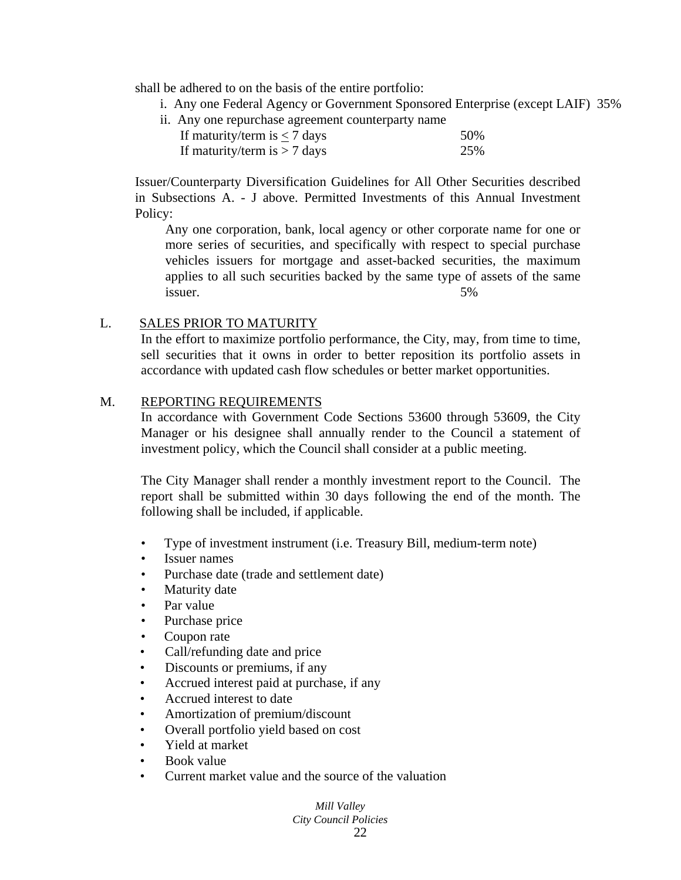shall be adhered to on the basis of the entire portfolio:

- i. Any one Federal Agency or Government Sponsored Enterprise (except LAIF) 35%
- ii. Any one repurchase agreement counterparty name

|  | If maturity/term is $<$ 7 days |  | 50% |
|--|--------------------------------|--|-----|
|  | If maturity/term is $> 7$ days |  | 25% |

Issuer/Counterparty Diversification Guidelines for All Other Securities described in Subsections A. - J above. Permitted Investments of this Annual Investment Policy:

Any one corporation, bank, local agency or other corporate name for one or more series of securities, and specifically with respect to special purchase vehicles issuers for mortgage and asset-backed securities, the maximum applies to all such securities backed by the same type of assets of the same issuer. 5%

### L. SALES PRIOR TO MATURITY

In the effort to maximize portfolio performance, the City, may, from time to time, sell securities that it owns in order to better reposition its portfolio assets in accordance with updated cash flow schedules or better market opportunities.

#### M. REPORTING REQUIREMENTS

In accordance with Government Code Sections 53600 through 53609, the City Manager or his designee shall annually render to the Council a statement of investment policy, which the Council shall consider at a public meeting.

The City Manager shall render a monthly investment report to the Council. The report shall be submitted within 30 days following the end of the month. The following shall be included, if applicable.

- Type of investment instrument (i.e. Treasury Bill, medium-term note)
- Issuer names
- Purchase date (trade and settlement date)
- Maturity date
- Par value
- Purchase price
- Coupon rate
- Call/refunding date and price
- Discounts or premiums, if any
- Accrued interest paid at purchase, if any
- Accrued interest to date
- Amortization of premium/discount
- Overall portfolio yield based on cost
- Yield at market
- Book value
- Current market value and the source of the valuation

*Mill Valley City Council Policies*  22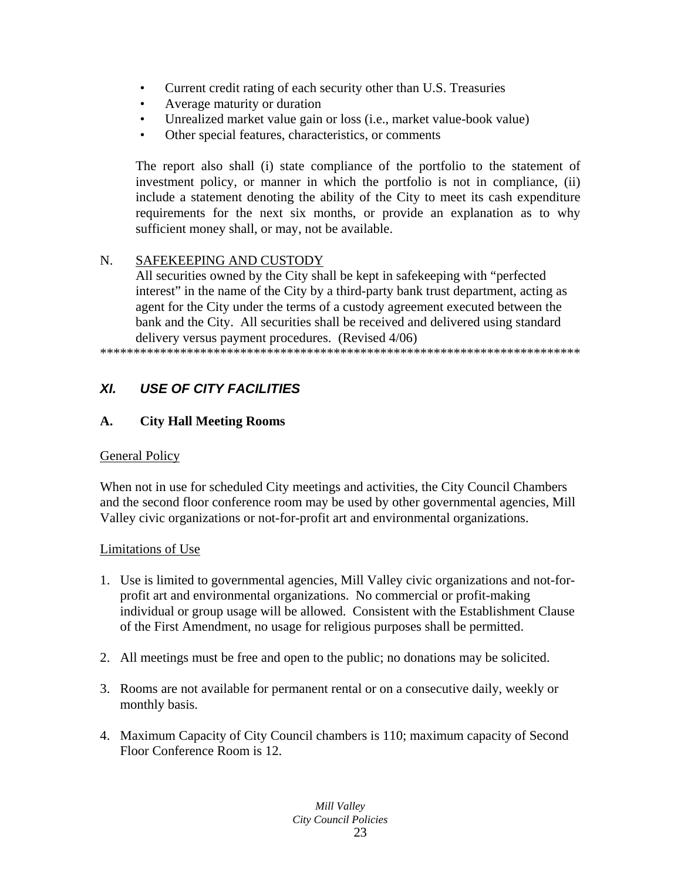- Current credit rating of each security other than U.S. Treasuries
- Average maturity or duration
- Unrealized market value gain or loss (i.e., market value-book value)
- Other special features, characteristics, or comments

The report also shall (i) state compliance of the portfolio to the statement of investment policy, or manner in which the portfolio is not in compliance, (ii) include a statement denoting the ability of the City to meet its cash expenditure requirements for the next six months, or provide an explanation as to why sufficient money shall, or may, not be available.

# N. SAFEKEEPING AND CUSTODY

All securities owned by the City shall be kept in safekeeping with "perfected interest" in the name of the City by a third-party bank trust department, acting as agent for the City under the terms of a custody agreement executed between the bank and the City. All securities shall be received and delivered using standard delivery versus payment procedures. (Revised 4/06)

\*\*\*\*\*\*\*\*\*\*\*\*\*\*\*\*\*\*\*\*\*\*\*\*\*\*\*\*\*\*\*\*\*\*\*\*\*\*\*\*\*\*\*\*\*\*\*\*\*\*\*\*\*\*\*\*\*\*\*\*\*\*\*\*\*\*\*\*\*\*\*\*

# *XI. USE OF CITY FACILITIES*

# **A. City Hall Meeting Rooms**

# General Policy

When not in use for scheduled City meetings and activities, the City Council Chambers and the second floor conference room may be used by other governmental agencies, Mill Valley civic organizations or not-for-profit art and environmental organizations.

#### Limitations of Use

- 1. Use is limited to governmental agencies, Mill Valley civic organizations and not-forprofit art and environmental organizations. No commercial or profit-making individual or group usage will be allowed. Consistent with the Establishment Clause of the First Amendment, no usage for religious purposes shall be permitted.
- 2. All meetings must be free and open to the public; no donations may be solicited.
- 3. Rooms are not available for permanent rental or on a consecutive daily, weekly or monthly basis.
- 4. Maximum Capacity of City Council chambers is 110; maximum capacity of Second Floor Conference Room is 12.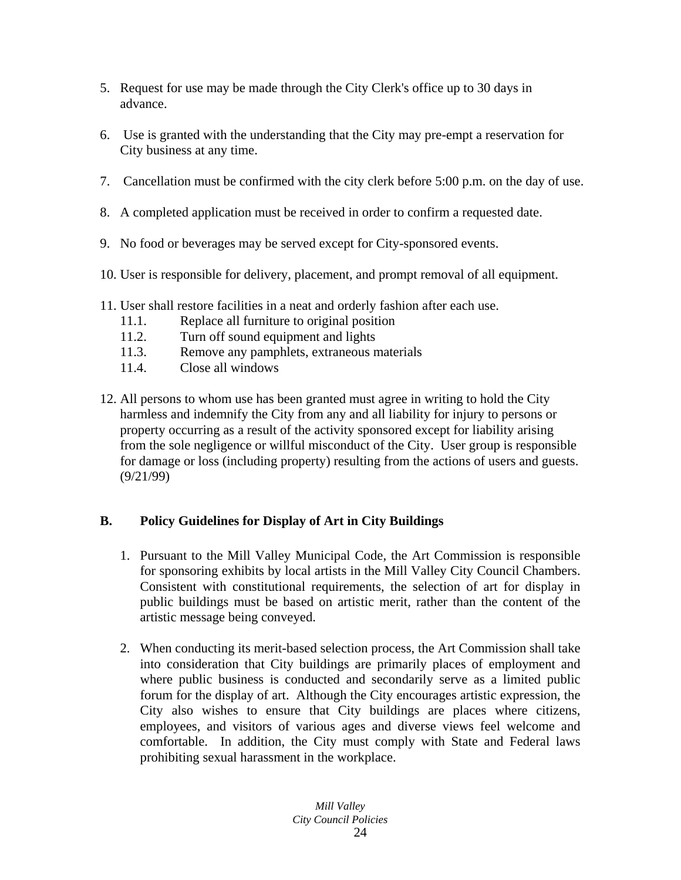- 5. Request for use may be made through the City Clerk's office up to 30 days in advance.
- 6. Use is granted with the understanding that the City may pre-empt a reservation for City business at any time.
- 7. Cancellation must be confirmed with the city clerk before 5:00 p.m. on the day of use.
- 8. A completed application must be received in order to confirm a requested date.
- 9. No food or beverages may be served except for City-sponsored events.
- 10. User is responsible for delivery, placement, and prompt removal of all equipment.
- 11. User shall restore facilities in a neat and orderly fashion after each use.
	- 11.1. Replace all furniture to original position
	- 11.2. Turn off sound equipment and lights
	- 11.3. Remove any pamphlets, extraneous materials
	- 11.4. Close all windows
- 12. All persons to whom use has been granted must agree in writing to hold the City harmless and indemnify the City from any and all liability for injury to persons or property occurring as a result of the activity sponsored except for liability arising from the sole negligence or willful misconduct of the City. User group is responsible for damage or loss (including property) resulting from the actions of users and guests. (9/21/99)

# **B. Policy Guidelines for Display of Art in City Buildings**

- 1. Pursuant to the Mill Valley Municipal Code, the Art Commission is responsible for sponsoring exhibits by local artists in the Mill Valley City Council Chambers. Consistent with constitutional requirements, the selection of art for display in public buildings must be based on artistic merit, rather than the content of the artistic message being conveyed.
- 2. When conducting its merit-based selection process, the Art Commission shall take into consideration that City buildings are primarily places of employment and where public business is conducted and secondarily serve as a limited public forum for the display of art. Although the City encourages artistic expression, the City also wishes to ensure that City buildings are places where citizens, employees, and visitors of various ages and diverse views feel welcome and comfortable. In addition, the City must comply with State and Federal laws prohibiting sexual harassment in the workplace.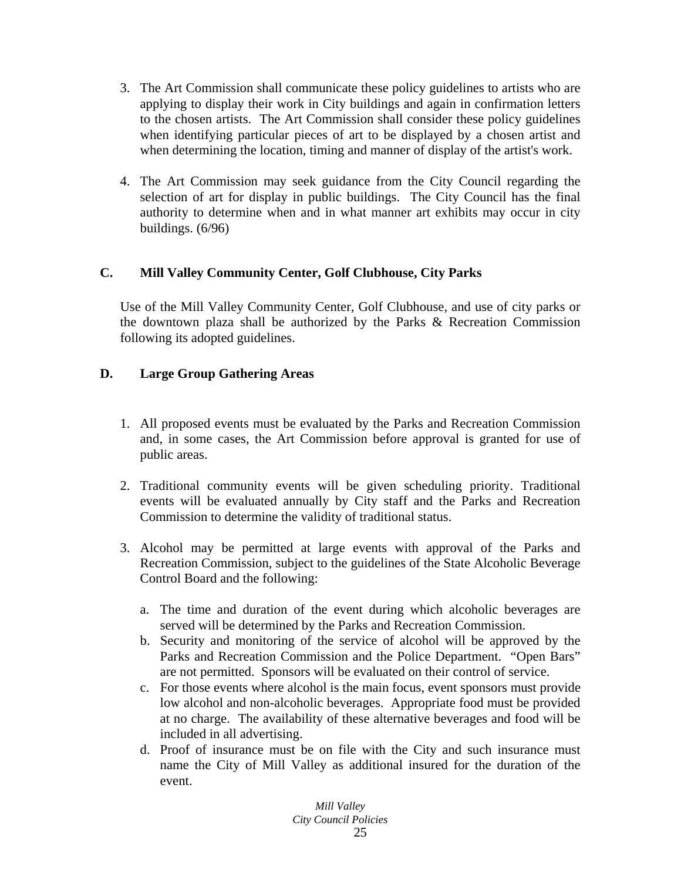- 3. The Art Commission shall communicate these policy guidelines to artists who are applying to display their work in City buildings and again in confirmation letters to the chosen artists. The Art Commission shall consider these policy guidelines when identifying particular pieces of art to be displayed by a chosen artist and when determining the location, timing and manner of display of the artist's work.
- 4. The Art Commission may seek guidance from the City Council regarding the selection of art for display in public buildings. The City Council has the final authority to determine when and in what manner art exhibits may occur in city buildings. (6/96)

# **C. Mill Valley Community Center, Golf Clubhouse, City Parks**

Use of the Mill Valley Community Center, Golf Clubhouse, and use of city parks or the downtown plaza shall be authorized by the Parks & Recreation Commission following its adopted guidelines.

# **D. Large Group Gathering Areas**

- 1. All proposed events must be evaluated by the Parks and Recreation Commission and, in some cases, the Art Commission before approval is granted for use of public areas.
- 2. Traditional community events will be given scheduling priority. Traditional events will be evaluated annually by City staff and the Parks and Recreation Commission to determine the validity of traditional status.
- 3. Alcohol may be permitted at large events with approval of the Parks and Recreation Commission, subject to the guidelines of the State Alcoholic Beverage Control Board and the following:
	- a. The time and duration of the event during which alcoholic beverages are served will be determined by the Parks and Recreation Commission.
	- b. Security and monitoring of the service of alcohol will be approved by the Parks and Recreation Commission and the Police Department. "Open Bars" are not permitted. Sponsors will be evaluated on their control of service.
	- c. For those events where alcohol is the main focus, event sponsors must provide low alcohol and non-alcoholic beverages. Appropriate food must be provided at no charge. The availability of these alternative beverages and food will be included in all advertising.
	- d. Proof of insurance must be on file with the City and such insurance must name the City of Mill Valley as additional insured for the duration of the event.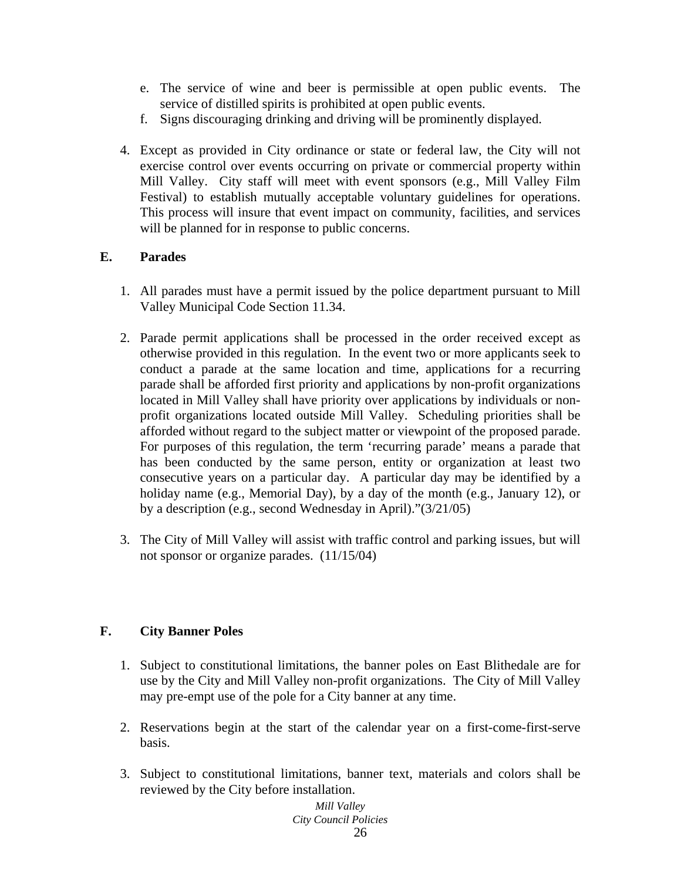- e. The service of wine and beer is permissible at open public events. The service of distilled spirits is prohibited at open public events.
- f. Signs discouraging drinking and driving will be prominently displayed.
- 4. Except as provided in City ordinance or state or federal law, the City will not exercise control over events occurring on private or commercial property within Mill Valley. City staff will meet with event sponsors (e.g., Mill Valley Film Festival) to establish mutually acceptable voluntary guidelines for operations. This process will insure that event impact on community, facilities, and services will be planned for in response to public concerns.

# **E. Parades**

- 1. All parades must have a permit issued by the police department pursuant to Mill Valley Municipal Code Section 11.34.
- 2. Parade permit applications shall be processed in the order received except as otherwise provided in this regulation. In the event two or more applicants seek to conduct a parade at the same location and time, applications for a recurring parade shall be afforded first priority and applications by non-profit organizations located in Mill Valley shall have priority over applications by individuals or nonprofit organizations located outside Mill Valley. Scheduling priorities shall be afforded without regard to the subject matter or viewpoint of the proposed parade. For purposes of this regulation, the term 'recurring parade' means a parade that has been conducted by the same person, entity or organization at least two consecutive years on a particular day. A particular day may be identified by a holiday name (e.g., Memorial Day), by a day of the month (e.g., January 12), or by a description (e.g., second Wednesday in April)."(3/21/05)
- 3. The City of Mill Valley will assist with traffic control and parking issues, but will not sponsor or organize parades. (11/15/04)

# **F. City Banner Poles**

- 1. Subject to constitutional limitations, the banner poles on East Blithedale are for use by the City and Mill Valley non-profit organizations. The City of Mill Valley may pre-empt use of the pole for a City banner at any time.
- 2. Reservations begin at the start of the calendar year on a first-come-first-serve basis.
- 3. Subject to constitutional limitations, banner text, materials and colors shall be reviewed by the City before installation.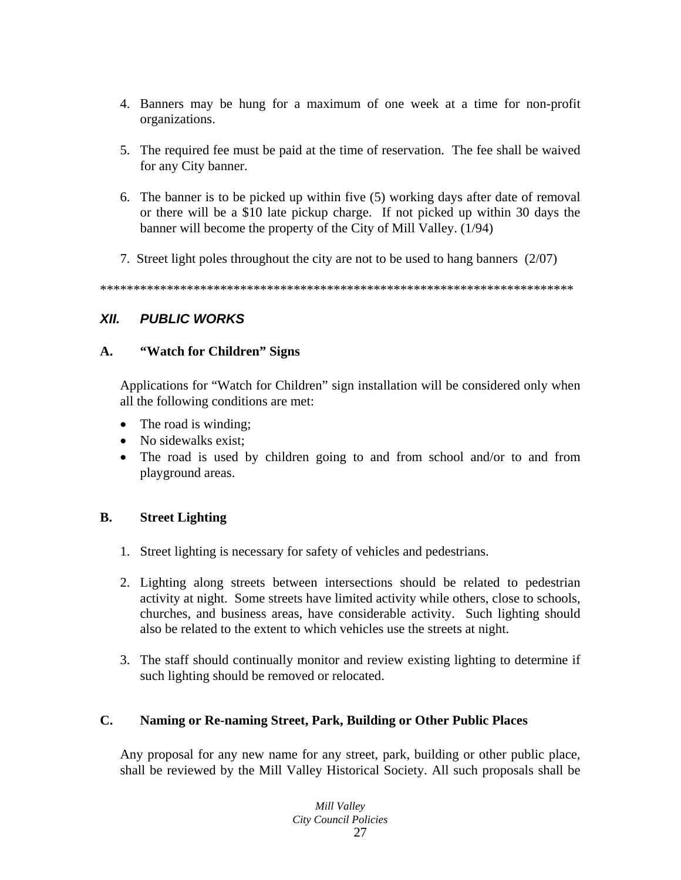- 4. Banners may be hung for a maximum of one week at a time for non-profit organizations.
- 5. The required fee must be paid at the time of reservation. The fee shall be waived for any City banner.
- 6. The banner is to be picked up within five (5) working days after date of removal or there will be a \$10 late pickup charge. If not picked up within 30 days the banner will become the property of the City of Mill Valley. (1/94)
- 7. Street light poles throughout the city are not to be used to hang banners (2/07)

\*\*\*\*\*\*\*\*\*\*\*\*\*\*\*\*\*\*\*\*\*\*\*\*\*\*\*\*\*\*\*\*\*\*\*\*\*\*\*\*\*\*\*\*\*\*\*\*\*\*\*\*\*\*\*\*\*\*\*\*\*\*\*\*\*\*\*\*\*\*\*

# *XII. PUBLIC WORKS*

# **A. "Watch for Children" Signs**

Applications for "Watch for Children" sign installation will be considered only when all the following conditions are met:

- The road is winding;
- No sidewalks exist;
- The road is used by children going to and from school and/or to and from playground areas.

# **B. Street Lighting**

- 1. Street lighting is necessary for safety of vehicles and pedestrians.
- 2. Lighting along streets between intersections should be related to pedestrian activity at night. Some streets have limited activity while others, close to schools, churches, and business areas, have considerable activity. Such lighting should also be related to the extent to which vehicles use the streets at night.
- 3. The staff should continually monitor and review existing lighting to determine if such lighting should be removed or relocated.

# **C. Naming or Re-naming Street, Park, Building or Other Public Places**

Any proposal for any new name for any street, park, building or other public place, shall be reviewed by the Mill Valley Historical Society. All such proposals shall be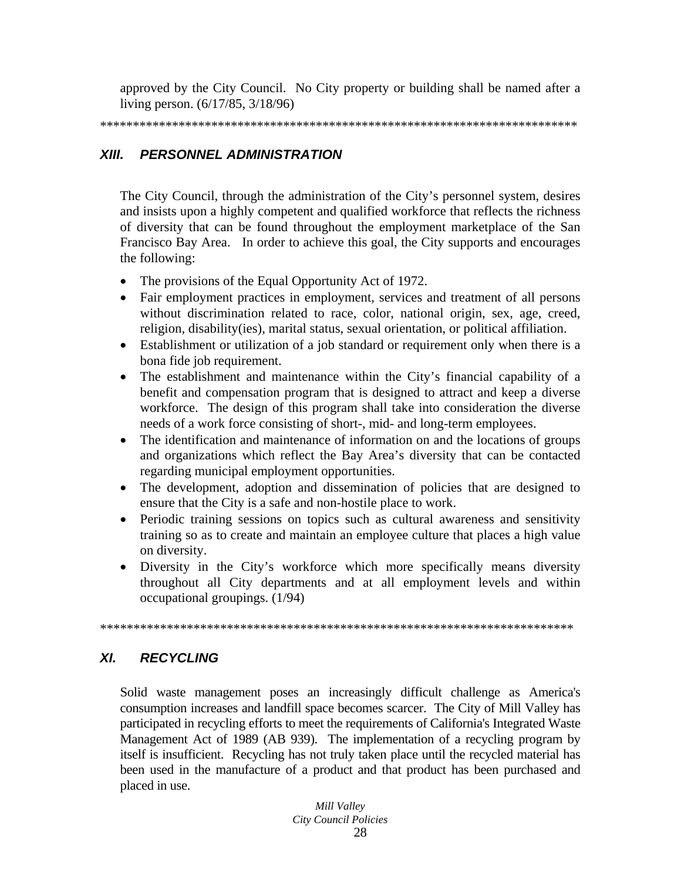approved by the City Council. No City property or building shall be named after a living person. (6/17/85, 3/18/96)

#### XIII. PERSONNEL ADMINISTRATION

The City Council, through the administration of the City's personnel system, desires and insists upon a highly competent and qualified workforce that reflects the richness of diversity that can be found throughout the employment marketplace of the San Francisco Bay Area. In order to achieve this goal, the City supports and encourages the following:

- The provisions of the Equal Opportunity Act of 1972.
- Fair employment practices in employment, services and treatment of all persons without discrimination related to race, color, national origin, sex, age, creed, religion, disability (ies), marital status, sexual orientation, or political affiliation.
- Establishment or utilization of a job standard or requirement only when there is a bona fide job requirement.
- The establishment and maintenance within the City's financial capability of a benefit and compensation program that is designed to attract and keep a diverse workforce. The design of this program shall take into consideration the diverse needs of a work force consisting of short-, mid- and long-term employees.
- The identification and maintenance of information on and the locations of groups and organizations which reflect the Bay Area's diversity that can be contacted regarding municipal employment opportunities.
- The development, adoption and dissemination of policies that are designed to ensure that the City is a safe and non-hostile place to work.
- Periodic training sessions on topics such as cultural awareness and sensitivity training so as to create and maintain an employee culture that places a high value on diversity.
- Diversity in the City's workforce which more specifically means diversity throughout all City departments and at all employment levels and within occupational groupings.  $(1/94)$

#### XL **RECYCLING**

Solid waste management poses an increasingly difficult challenge as America's consumption increases and landfill space becomes scarcer. The City of Mill Valley has participated in recycling efforts to meet the requirements of California's Integrated Waste Management Act of 1989 (AB 939). The implementation of a recycling program by itself is insufficient. Recycling has not truly taken place until the recycled material has been used in the manufacture of a product and that product has been purchased and placed in use.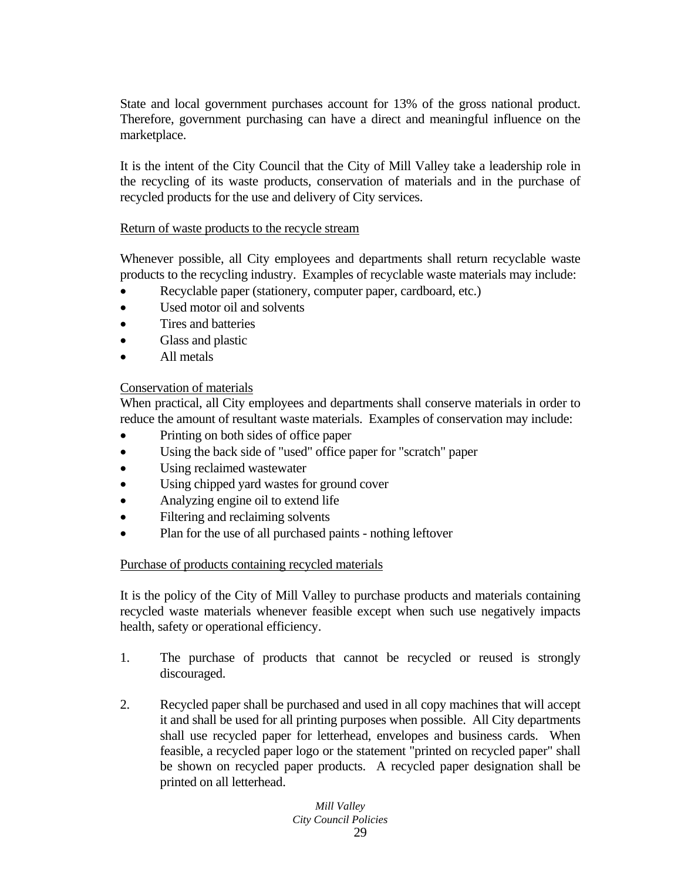State and local government purchases account for 13% of the gross national product. Therefore, government purchasing can have a direct and meaningful influence on the marketplace.

It is the intent of the City Council that the City of Mill Valley take a leadership role in the recycling of its waste products, conservation of materials and in the purchase of recycled products for the use and delivery of City services.

### Return of waste products to the recycle stream

Whenever possible, all City employees and departments shall return recyclable waste products to the recycling industry. Examples of recyclable waste materials may include:

- Recyclable paper (stationery, computer paper, cardboard, etc.)
- Used motor oil and solvents
- Tires and batteries
- Glass and plastic
- All metals

### Conservation of materials

When practical, all City employees and departments shall conserve materials in order to reduce the amount of resultant waste materials. Examples of conservation may include:

- Printing on both sides of office paper
- Using the back side of "used" office paper for "scratch" paper
- Using reclaimed wastewater
- Using chipped yard wastes for ground cover
- Analyzing engine oil to extend life
- Filtering and reclaiming solvents
- Plan for the use of all purchased paints nothing leftover

# Purchase of products containing recycled materials

It is the policy of the City of Mill Valley to purchase products and materials containing recycled waste materials whenever feasible except when such use negatively impacts health, safety or operational efficiency.

- 1. The purchase of products that cannot be recycled or reused is strongly discouraged.
- 2. Recycled paper shall be purchased and used in all copy machines that will accept it and shall be used for all printing purposes when possible. All City departments shall use recycled paper for letterhead, envelopes and business cards. When feasible, a recycled paper logo or the statement "printed on recycled paper" shall be shown on recycled paper products. A recycled paper designation shall be printed on all letterhead.